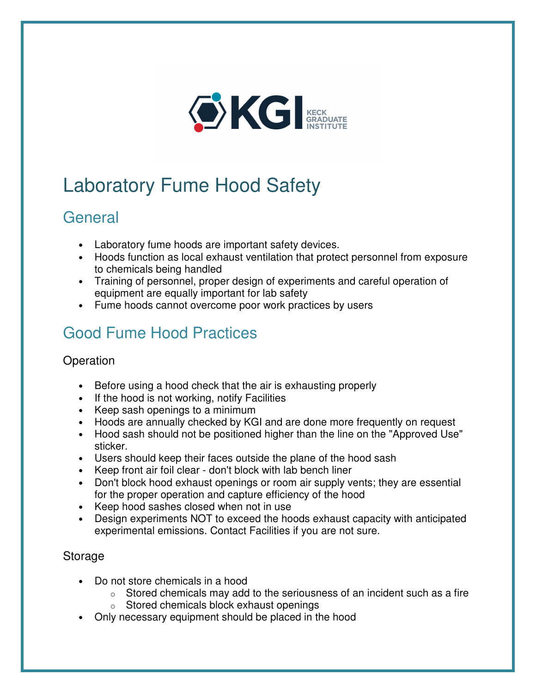

# Laboratory Fume Hood Safety

### General

- Laboratory fume hoods are important safety devices.
- Hoods function as local exhaust ventilation that protect personnel from exposure to chemicals being handled
- Training of personnel, proper design of experiments and careful operation of equipment are equally important for lab safety
- Fume hoods cannot overcome poor work practices by users

## Good Fume Hood Practices

### **Operation**

- Before using a hood check that the air is exhausting properly
- If the hood is not working, notify Facilities
- Keep sash openings to a minimum
- Hoods are annually checked by KGI and are done more frequently on request
- Hood sash should not be positioned higher than the line on the "Approved Use" sticker.
- Users should keep their faces outside the plane of the hood sash
- Keep front air foil clear don't block with lab bench liner
- Don't block hood exhaust openings or room air supply vents; they are essential for the proper operation and capture efficiency of the hood
- Keep hood sashes closed when not in use
- Design experiments NOT to exceed the hoods exhaust capacity with anticipated experimental emissions. Contact Facilities if you are not sure.

#### **Storage**

- Do not store chemicals in a hood
	- $\circ$  Stored chemicals may add to the seriousness of an incident such as a fire
	- o Stored chemicals block exhaust openings
- Only necessary equipment should be placed in the hood